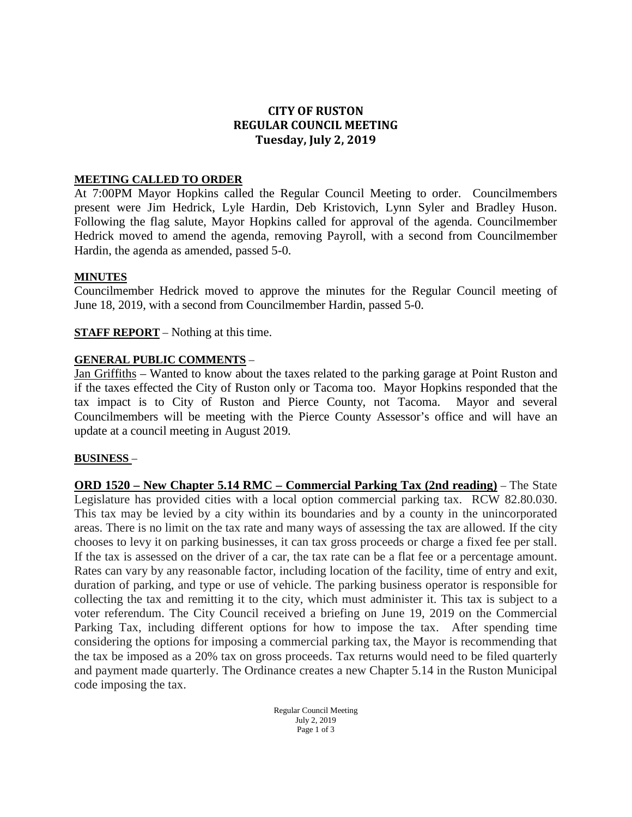# **CITY OF RUSTON REGULAR COUNCIL MEETING Tuesday, July 2, 2019**

### **MEETING CALLED TO ORDER**

At 7:00PM Mayor Hopkins called the Regular Council Meeting to order. Councilmembers present were Jim Hedrick, Lyle Hardin, Deb Kristovich, Lynn Syler and Bradley Huson. Following the flag salute, Mayor Hopkins called for approval of the agenda. Councilmember Hedrick moved to amend the agenda, removing Payroll, with a second from Councilmember Hardin, the agenda as amended, passed 5-0.

#### **MINUTES**

Councilmember Hedrick moved to approve the minutes for the Regular Council meeting of June 18, 2019, with a second from Councilmember Hardin, passed 5-0.

**STAFF REPORT** – Nothing at this time.

### **GENERAL PUBLIC COMMENTS** –

Jan Griffiths – Wanted to know about the taxes related to the parking garage at Point Ruston and if the taxes effected the City of Ruston only or Tacoma too. Mayor Hopkins responded that the tax impact is to City of Ruston and Pierce County, not Tacoma. Mayor and several Councilmembers will be meeting with the Pierce County Assessor's office and will have an update at a council meeting in August 2019.

#### **BUSINESS** –

**ORD 1520 – New Chapter 5.14 RMC – Commercial Parking Tax (2nd reading)** – The State Legislature has provided cities with a local option commercial parking tax. RCW 82.80.030. This tax may be levied by a city within its boundaries and by a county in the unincorporated areas. There is no limit on the tax rate and many ways of assessing the tax are allowed. If the city chooses to levy it on parking businesses, it can tax gross proceeds or charge a fixed fee per stall. If the tax is assessed on the driver of a car, the tax rate can be a flat fee or a percentage amount. Rates can vary by any reasonable factor, including location of the facility, time of entry and exit, duration of parking, and type or use of vehicle. The parking business operator is responsible for collecting the tax and remitting it to the city, which must administer it. This tax is subject to a voter referendum. The City Council received a briefing on June 19, 2019 on the Commercial Parking Tax, including different options for how to impose the tax. After spending time considering the options for imposing a commercial parking tax, the Mayor is recommending that the tax be imposed as a 20% tax on gross proceeds. Tax returns would need to be filed quarterly and payment made quarterly. The Ordinance creates a new Chapter 5.14 in the Ruston Municipal code imposing the tax.

> Regular Council Meeting July 2, 2019 Page 1 of 3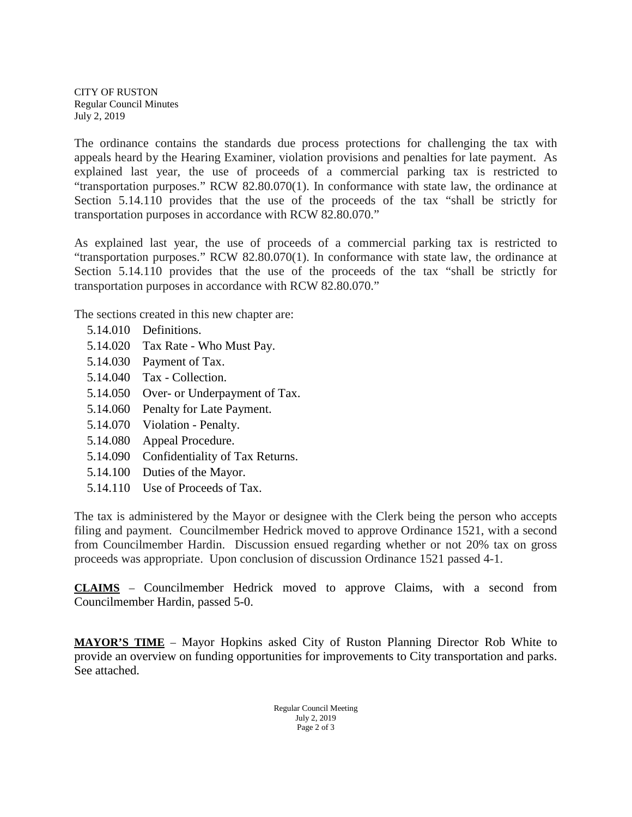CITY OF RUSTON Regular Council Minutes July 2, 2019

The ordinance contains the standards due process protections for challenging the tax with appeals heard by the Hearing Examiner, violation provisions and penalties for late payment. As explained last year, the use of proceeds of a commercial parking tax is restricted to "transportation purposes." RCW 82.80.070(1). In conformance with state law, the ordinance at Section 5.14.110 provides that the use of the proceeds of the tax "shall be strictly for transportation purposes in accordance with RCW 82.80.070."

As explained last year, the use of proceeds of a commercial parking tax is restricted to "transportation purposes." RCW 82.80.070(1). In conformance with state law, the ordinance at Section 5.14.110 provides that the use of the proceeds of the tax "shall be strictly for transportation purposes in accordance with RCW 82.80.070."

The sections created in this new chapter are:

- [5.14.010 Definitions.](http://www.codepublishing.com/WA/Bremerton/#!/Bremerton03/Bremerton0382.html#3.82.010)
- [5.14.020 Tax Rate -](http://www.codepublishing.com/WA/Bremerton/#!/Bremerton03/Bremerton0382.html#3.82.020) Who Must Pay.
- [5.14.030 Payment of Tax.](http://www.codepublishing.com/WA/Bremerton/#!/Bremerton03/Bremerton0382.html#3.82.030)
- [5.14.040 Tax -](http://www.codepublishing.com/WA/Bremerton/#!/Bremerton03/Bremerton0382.html#3.82.040) Collection.
- 5.14.050 Over- [or Underpayment of Tax.](http://www.codepublishing.com/WA/Bremerton/#!/Bremerton03/Bremerton0382.html#3.82.050)
- [5.14.060 Penalty for Late Payment.](http://www.codepublishing.com/WA/Bremerton/#!/Bremerton03/Bremerton0382.html#3.82.060)
- [5.14.070 Violation -](http://www.codepublishing.com/WA/Bremerton/#!/Bremerton03/Bremerton0382.html#3.82.070) Penalty.
- [5.14.080 Appeal Procedure.](http://www.codepublishing.com/WA/Bremerton/#!/Bremerton03/Bremerton0382.html#3.82.080)
- [5.14.090 Confidentiality of Tax Returns.](http://www.codepublishing.com/WA/Bremerton/#!/Bremerton03/Bremerton0382.html#3.82.090)
- [5.14.100 Duties of the Mayor.](http://www.codepublishing.com/WA/Bremerton/#!/Bremerton03/Bremerton0382.html#3.82.100)
- [5.14.110 Use of Proceeds of Tax.](http://www.codepublishing.com/WA/Bremerton/#!/Bremerton03/Bremerton0382.html#3.82.110)

The tax is administered by the Mayor or designee with the Clerk being the person who accepts filing and payment. Councilmember Hedrick moved to approve Ordinance 1521, with a second from Councilmember Hardin. Discussion ensued regarding whether or not 20% tax on gross proceeds was appropriate. Upon conclusion of discussion Ordinance 1521 passed 4-1.

**CLAIMS** – Councilmember Hedrick moved to approve Claims, with a second from Councilmember Hardin, passed 5-0.

**MAYOR'S TIME** – Mayor Hopkins asked City of Ruston Planning Director Rob White to provide an overview on funding opportunities for improvements to City transportation and parks. See attached.